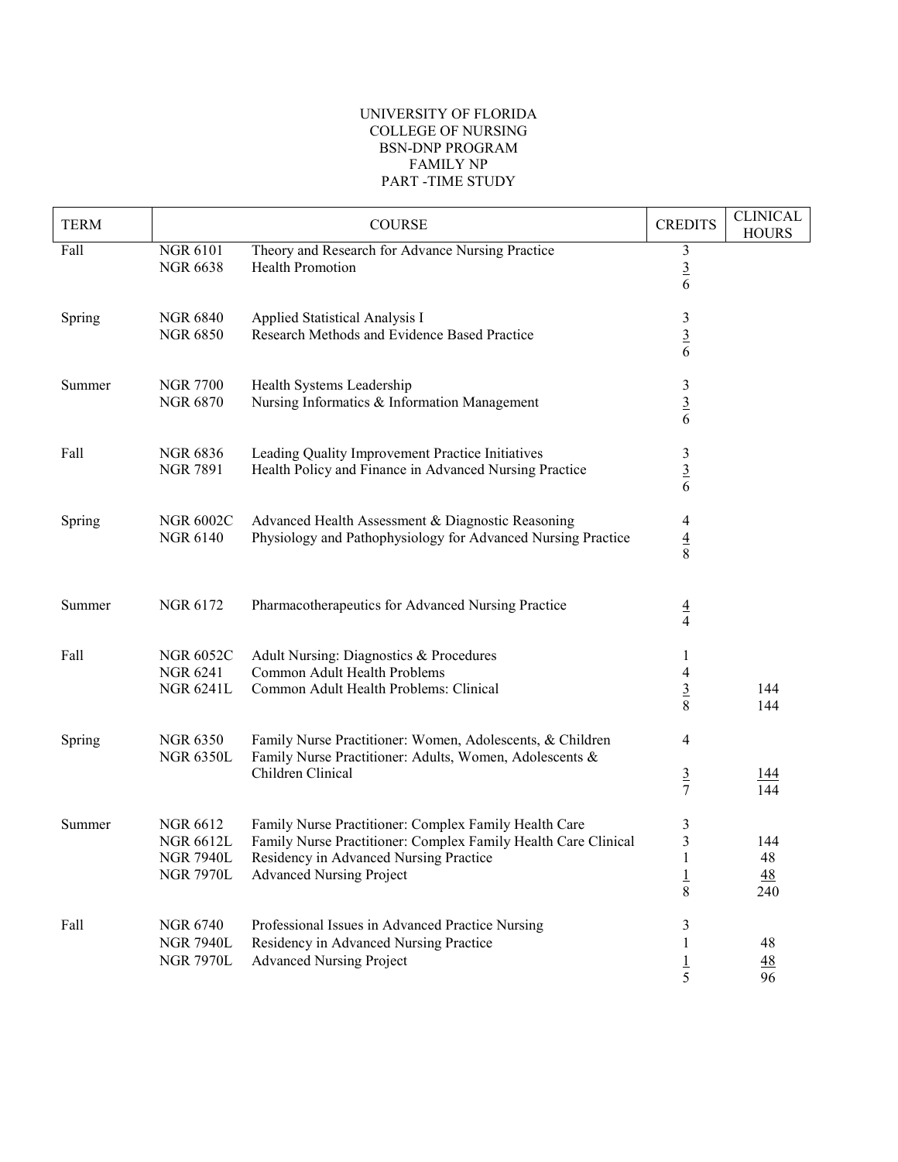## UNIVERSITY OF FLORIDA COLLEGE OF NURSING BSN-DNP PROGRAM FAMILY NP PART -TIME STUDY

| <b>TERM</b> |                                                                             | <b>COURSE</b>                                                                                                                                                                                        | <b>CREDITS</b>                  | <b>CLINICAL</b><br><b>HOURS</b>    |
|-------------|-----------------------------------------------------------------------------|------------------------------------------------------------------------------------------------------------------------------------------------------------------------------------------------------|---------------------------------|------------------------------------|
| Fall        | <b>NGR 6101</b><br><b>NGR 6638</b>                                          | Theory and Research for Advance Nursing Practice<br><b>Health Promotion</b>                                                                                                                          | $\mathfrak{Z}$<br>$\frac{3}{6}$ |                                    |
| Spring      | <b>NGR 6840</b><br><b>NGR 6850</b>                                          | Applied Statistical Analysis I<br>Research Methods and Evidence Based Practice                                                                                                                       | 3<br>$\frac{3}{6}$              |                                    |
| Summer      | <b>NGR 7700</b><br><b>NGR 6870</b>                                          | Health Systems Leadership<br>Nursing Informatics & Information Management                                                                                                                            | 3<br>$\frac{3}{6}$              |                                    |
| Fall        | <b>NGR 6836</b><br><b>NGR 7891</b>                                          | Leading Quality Improvement Practice Initiatives<br>Health Policy and Finance in Advanced Nursing Practice                                                                                           | $\frac{3}{\frac{3}{6}}$         |                                    |
| Spring      | <b>NGR 6002C</b><br><b>NGR 6140</b>                                         | Advanced Health Assessment & Diagnostic Reasoning<br>Physiology and Pathophysiology for Advanced Nursing Practice                                                                                    | 4<br>$\frac{4}{8}$              |                                    |
| Summer      | <b>NGR 6172</b>                                                             | Pharmacotherapeutics for Advanced Nursing Practice                                                                                                                                                   | $\frac{4}{4}$                   |                                    |
| Fall        | <b>NGR 6052C</b><br><b>NGR 6241</b><br><b>NGR 6241L</b>                     | Adult Nursing: Diagnostics & Procedures<br>Common Adult Health Problems<br>Common Adult Health Problems: Clinical                                                                                    | 1<br>4<br>$rac{3}{8}$           | 144<br>144                         |
| Spring      | <b>NGR 6350</b><br><b>NGR 6350L</b>                                         | Family Nurse Practitioner: Women, Adolescents, & Children<br>Family Nurse Practitioner: Adults, Women, Adolescents &<br>Children Clinical                                                            | 4<br>$rac{3}{7}$                | <u> 144</u><br>144                 |
| Summer      | <b>NGR 6612</b><br><b>NGR 6612L</b><br><b>NGR 7940L</b><br><b>NGR 7970L</b> | Family Nurse Practitioner: Complex Family Health Care<br>Family Nurse Practitioner: Complex Family Health Care Clinical<br>Residency in Advanced Nursing Practice<br><b>Advanced Nursing Project</b> | 3<br>3<br>1<br>$\frac{1}{8}$    | 144<br>48<br>$\frac{48}{1}$<br>240 |
| Fall        | <b>NGR 6740</b><br><b>NGR 7940L</b><br><b>NGR 7970L</b>                     | Professional Issues in Advanced Practice Nursing<br>Residency in Advanced Nursing Practice<br><b>Advanced Nursing Project</b>                                                                        | 3<br>1<br>$\frac{1}{5}$         | 48<br><u>48</u><br>96              |